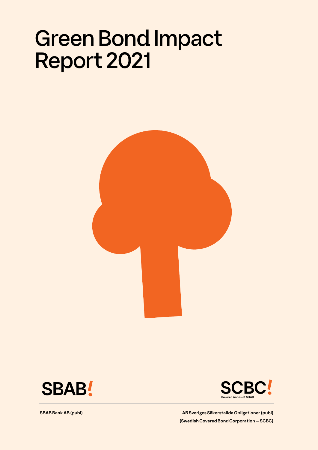# Green Bond Impact Report 2021







**SBAB Bank AB (publ) AB Sveriges Säkerstallda Obligationer (publ) AB Sveriges Säkerstallda Obligationer (publ) (Swedish Covered Bond Corporation — SCBC)**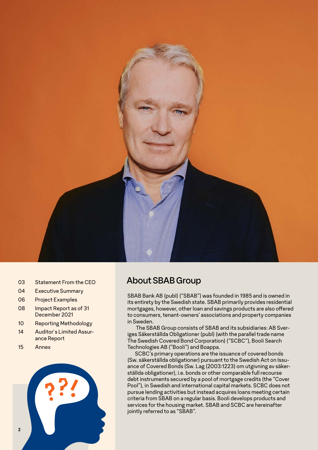

- 03 Statement From the CEO
- 04 Executive Summary
- 06 Project Examples
- 08 Impact Report as of 31 December 2021
- 10 Reporting Methodology
- 14 Auditor´s Limited Assurance Report
- 15 Annex



## About SBAB Group

SBAB Bank AB (publ) ("SBAB") was founded in 1985 and is owned in its entirety by the Swedish state. SBAB primarily provides residential mortgages, however, other loan and savings products are also offered to consumers, tenant-owners' associations and property companies in Sweden.

 The SBAB Group consists of SBAB and its subsidiaries: AB Sveriges Säkerställda Obligationer (publ) (with the parallel trade name The Swedish Covered Bond Corporation) ("SCBC"), Booli Search Technologies AB ("Booli") and Boappa.

SCBC's primary operations are the issuance of covered bonds (Sw. säkerställda obligationer) pursuant to the Swedish Act on Issuance of Covered Bonds (Sw. Lag (2003:1223) om utgivning av säkerställda obligationer), i.e. bonds or other comparable full recourse debt instruments secured by a pool of mortgage credits (the "Cover Pool"), in Swedish and international capital markets. SCBC does not pursue lending activities but instead acquires loans meeting certain criteria from SBAB on a regular basis. Booli develops products and services for the housing market. SBAB and SCBC are hereinafter jointly referred to as "SBAB".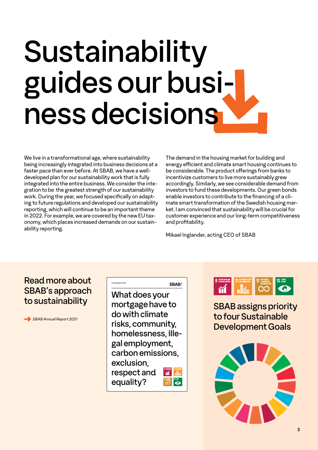# Sustainability guides our business decisions

We live in a transformational age, where sustainability being increasingly integrated into business decisions at a faster pace than ever before. At SBAB, we have a welldeveloped plan for our sustainability work that is fully integrated into the entire business. We consider the integration to be the greatest strength of our sustainability work. During the year, we focused specifically on adapting to future regulations and developed our sustainability reporting, which will continue to be an important theme in 2022. For example, we are covered by the new EU taxonomy, which places increased demands on our sustainability reporting.

The demand in the housing market for building and energy efficient and climate smart housing continues to be considerable. The product offerings from banks to incentivize customers to live more sustainably grew accordingly. Similarly, we see considerable demand from investors to fund these developments. Our green bonds enable investors to contribute to the financing of a climate smart transformation of the Swedish housing market. I am convinced that sustainability will be crucial for customer experience and our long-term competitiveness and profitability.

Mikael Inglander, acting CEO of SBAB

## Read more about SBAB's approach to sustainability

 *SBAB Annual Report 2021*

#### SBAB! Annual Report 2021

What does your mortgage have to do with climate risks, community, homelessness, illegal employment, carbon emissions, exclusion, respect and  $\sum$ equality?



SBAB assigns priority to four Sustainable Development Goals

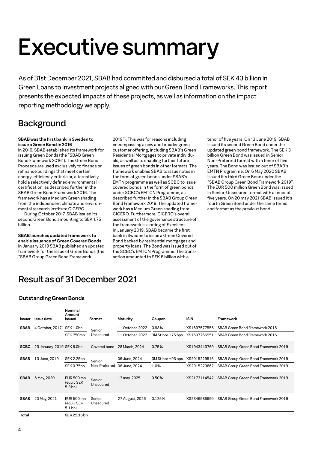# Executive summary

As of 31st December 2021, SBAB had committed and disbursed a total of SEK 43 billion in Green Loans to investment projects aligned with our Green Bond Frameworks. This report presents the expected impacts of these projects, as well as information on the impact reporting methodology we apply.

## **Background**

#### **SBAB was the first bank in Sweden to issue a Green Bond in 2016**

In 2016, SBAB established its framework for issuing Green Bonds (the "SBAB Green Bond Framework 2016"). The Green Bond Proceeds are used exclusively to finance or refinance buildings that meet certain energy-efficiency criteria or, alternatively, hold a selectively defined environmental certification, as described further in the SBAB Green Bond Framework 2016. The framework has a Medium Green shading from the independent climate and environmental research institute CICERO.

During October 2017, SBAB issued its second Green Bond amounting to SEK 1.75 billion.

**SBAB launches updated framework to enable issuance of Green Covered Bonds** In January 2019 SBAB published an updated framework for the issue of Green Bonds (the "SBAB Group Green Bond Framework

2019"). This was for reasons including encompassing a new and broader green customer offering, including SBAB's Green Residential Mortgages to private individuals, as well as to enabling further future issues of green bonds in other formats. The framework enables SBAB to issue notes in the form of green bonds under SBAB's EMTN programme as well as SCBC to issue covered bonds in the form of green bonds under SCBC's EMTCN Programme, as described further in the SBAB Group Green Bond Framework 2019. The updated framework has a Medium Green shading from CICERO. Furthermore, CICERO's overall assessment of the governance structure of the framework is a rating of Excellent. In January 2019, SBAB became the first bank in Sweden to issue a Green Covered Bond backed by residential mortgages and property loans. The Bond was issued out of the SCBC's EMTCN Programme. The transaction amounted to SEK 6 billion with a

tenor of five years. On 13 June 2019, SBAB issued its second Green Bond under the updated green bond framework. The SEK 3 billion Green Bond was issued in Senior Non-Preferred format with a tenor of five years. The Bond was issued out of SBAB's EMTN Programme. On 6 May 2020 SBAB issued it´s third Green Bond under the "SBAB Group Green Bond Framework 2019". The EUR 500 million Green Bond was issued in Senior-Unsecured format with a tenor of five years. On 20 may 2021 SBAB issued it´s fourth Green Bond under the same terms and format as the previous bond.

## Result as of 31 December 2021

**Nominal** 

## **Outstanding Green Bonds**

| <b>Issuer</b> | Issue date                 | Nominal<br>Amount<br>Issued                          | Format              | Maturity         | Coupon            | <b>ISIN</b>  | Framework                            |
|---------------|----------------------------|------------------------------------------------------|---------------------|------------------|-------------------|--------------|--------------------------------------|
| <b>SBAB</b>   | 4 October, 2017            | SEK 1.0bn                                            | Senior              | 11 October, 2022 | 0.98%             | XS1697577556 | SBAB Green Bond Framework 2016       |
|               |                            | SEK 750mn                                            | Unsecured           | 11 October, 2022 | 3M Stibor +75 bps | XS1697766951 | SBAB Green Bond Framework 2016       |
| <b>SCBC</b>   | 23 January, 2019 SEK 6.0bn |                                                      | Covered bond        | 28 March, 2024   | 0.75%             | XS1943443769 | SBAB Group Green Bond Framework 2019 |
| <b>SBAB</b>   | 13 June, 2019              | <b>SEK 2.25bn</b>                                    | Senior              | 06 June, 2024    | 3M Stibor +93 bps | XS2015229516 | SBAB Group Green Bond Framework 2019 |
|               |                            | <b>SEK 0.75bn</b>                                    | Non-Preferred       | 06 June, 2024    | 1.0%              | XS2015229862 | SBAB Group Green Bond Framework 2019 |
| <b>SBAB</b>   | 6 May, 2020                | <b>EUR 500 mn</b><br>(equiv SEK<br>5.3 <sub>bn</sub> | Senior<br>Unsecured | 13 may, 2025     | 0.50%             | XS2173114542 | SBAB Group Green Bond Framework 2019 |
| <b>SBAB</b>   | 20 May, 2021               | <b>EUR 500 mn</b><br>(equiv SEK<br>$5.1$ bn)         | Senior<br>Unsecured | 27 August, 2026  | 0.125%            | XS2346986990 | SBAB Group Green Bond Framework 2019 |
| Total         |                            | SEK 21.15 bn                                         |                     |                  |                   |              |                                      |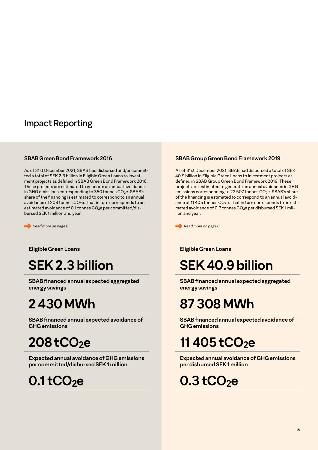## Impact Reporting

## **SBAB Green Bond Framework 2016**

As of 31st December 2021, SBAB had disbursed and/or committed a total of SEK 2.3 billion in Eligible Green Loans to investment projects as defined in SBAB Green Bond Framework 2016. These projects are estimated to generate an annual avoidance in GHG emissions corresponding to 350 tonnes CO<sub>2</sub>e. SBAB's share of the financing is estimated to correspond to an annual avoidance of 208 tonnes CO<sub>2</sub>e. That in turn corresponds to an estimated avoidance of 0.1 tonnes CO<sub>2</sub>e per committed/disbursed SEK 1 million and year.

 *Read more on page 8*

**Eligible Green Loans**

## **SEK 2.3 billion**

**SBAB financed annual expected aggregated energy savings**

# **2 430 MWh**

**SBAB financed annual expected avoidance of GHG emissions** 

# **208 tCO2e**

**Expected annual avoidance of GHG emissions per committed/disbursed SEK 1 million**

**0.1 tCO2e** 

## **SBAB Group Green Bond Framework 2019**

As of 31st December 2021, SBAB had disbursed a total of SEK 40.9 billion in Eligible Green Loans to investment projects as defined in SBAB Group Green Bond Framework 2019. These projects are estimated to generate an annual avoidance in GHG emissions corresponding to 22 507 tonnes CO<sub>2</sub>e. SBAB's share of the financing is estimated to correspond to an annual avoidance of 11 405 tonnes  $CO<sub>2</sub>e$ . That in turn corresponds to an estimated avoidance of 0.3 tonnes CO2e per disbursed SEK 1 million and year.

 *Read more on page 8*

## **Eligible Green Loans**

# **SEK 40.9 billion**

**SBAB financed annual expected aggregated energy savings** 

# **87 308 MWh**

**SBAB financed annual expected avoidance of GHG emissions** 

## **11 405 tCO2e**

**Expected annual avoidance of GHG emissions per disbursed SEK 1 million**

# **0.3 tCO2e**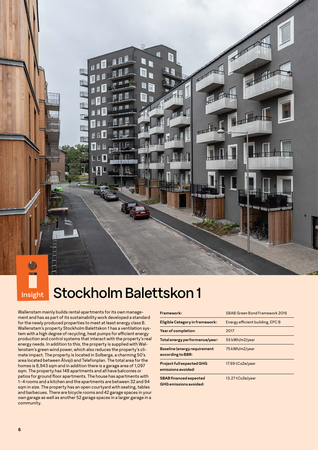# **Insight** Stockholm Balettskon 1

Wallenstam mainly builds rental apartments for its own management and has as part of its sustainability work developed a standard for the newly produced properties to meet at least energy class B. Wallenstam's property Stockholm Balettskon 1 has a ventilation system with a high degree of recycling, heat pumps for efficient energy production and control systems that interact with the property's real energy needs. In addition to this, the property is supplied with Wallenstam's green wind power, which also reduces the property's climate impact. The property is located in Solberga, a charming 50's area located between Älvsjö and Telefonplan. The total area for the homes is 8,943 sqm and in addition there is a garage area of 1,097 sqm. The property has 148 apartments and all have balconies or patios for ground floor apartments. The house has apartments with 1–4 rooms and a kitchen and the apartments are between 32 and 94 sqm in size. The property has an open courtyard with seating, tables and barbecues. There are bicycle rooms and 42 garage spaces in your own garage as well as another 52 garage spaces in a larger garage in a community.

Ħ

| Framework:                                               | SBAB Green Bond Framework 2016   |
|----------------------------------------------------------|----------------------------------|
| Eligible Category in framework:                          | Energy efficient building, EPC B |
| Year of completion:                                      | 2017                             |
| Total energy performance/year:                           | 55 kWh/m2/year                   |
| <b>Baseline (energy requirement</b><br>according to BBR: | 75 kWh/m2/year                   |
| Project full expected GHG<br>emissions avoided:          | 17.69 tCo2e/year                 |
| <b>SBAB</b> financed expected<br>GHG emissions avoided:  | 13.27 tCo2e/year                 |

一起

in e successive concent

所

**His to Hilliam**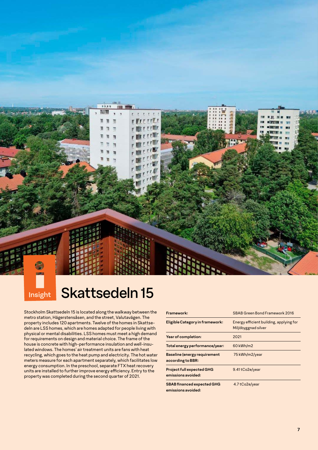# **Insight** Skattsedeln 15

**HR.XX** 

n 加 т

 $\mathbf{u}$ 

**TTP** 

Stockholm Skattsedeln 15 is located along the walkway between the metro station, Hägerstensåsen, and the street, Valutavägen. The property includes 120 apartments. Twelve of the homes in Skattsedeln are LSS homes, which are homes adapted for people living with physical or mental disabilities. LSS homes must meet a high demand for requirements on design and material choice. The frame of the house is concrete with high-performance insulation and well-insulated windows. The homes' air treatment units are fans with heat recycling, which goes to the heat pump and electricity. The hot water meters measure for each apartment separately, which facilitates low energy consumption. In the preschool, separate FTX heat recovery units are installed to further improve energy efficiency. Entry to the property was completed during the second quarter of 2021.

| Framework:                                               | SBAB Green Bond Framework 2016                                 |
|----------------------------------------------------------|----------------------------------------------------------------|
| Eligible Category in framework:                          | Energy efficient building, applying for<br>Miljöbyggnad silver |
| Year of completion:                                      | 2021                                                           |
| Total energy performance/year:                           | 60 kWh/m2                                                      |
| <b>Baseline (energy requirement</b><br>according to BBR: | 75 kWh/m2/year                                                 |
| <b>Project full expected GHG</b><br>emissions avoided:   | 9.41 tCo2e/year                                                |
| <b>SBAB financed expected GHG</b><br>emissions avoided:  | 4.7 tCo2e/year                                                 |

 $1 - 10$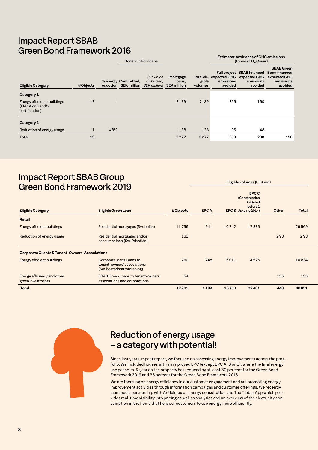## Impact Report SBAB Green Bond Framework 2016

|          |                          |                         |                                                  |                                                | Estimated avoidance of GHG emissions<br>(tonnes CO <sub>2</sub> e/year) |                      |                                                                                   |  |
|----------|--------------------------|-------------------------|--------------------------------------------------|------------------------------------------------|-------------------------------------------------------------------------|----------------------|-----------------------------------------------------------------------------------|--|
| #Objects |                          | (Of which<br>disbursed. | Mortgage<br>loans,                               | gible<br>volumes                               | avoided                                                                 | emissions<br>avoided | <b>SBAB</b> Green<br><b>Bond financed</b><br>expexted GHG<br>emissions<br>avoided |  |
|          |                          |                         |                                                  |                                                |                                                                         |                      |                                                                                   |  |
| 18       | $\overline{\phantom{a}}$ |                         | 2139                                             | 2139                                           | 255                                                                     | 160                  |                                                                                   |  |
|          |                          |                         |                                                  |                                                |                                                                         |                      |                                                                                   |  |
| 1        | 48%                      |                         | 138                                              | 138                                            | 95                                                                      | 48                   |                                                                                   |  |
| 19       |                          |                         | 2277                                             | 2277                                           | 350                                                                     | 208                  | 158                                                                               |  |
|          |                          |                         | <b>Construction loans</b><br>% energy Committed, | reduction SEK million SEK million) SEK million |                                                                         |                      | Full project SBAB financed<br>Total eli- expected GHG expected GHG<br>emissions   |  |

## Impact Report SBAB Group Green Bond Framework 2019

|                                                  |                                                                                       |          |             |       | <b>EPCC</b><br>(Construction<br>initiated<br>before 1 |       |              |
|--------------------------------------------------|---------------------------------------------------------------------------------------|----------|-------------|-------|-------------------------------------------------------|-------|--------------|
| <b>Eligible Category</b>                         | Eligible Green Loan                                                                   | #Objects | <b>EPCA</b> |       | EPCB January 2014)                                    | Other | <b>Total</b> |
| Retail                                           |                                                                                       |          |             |       |                                                       |       |              |
| Energy efficient buildings                       | Residential mortgages (Sw. bolån)                                                     | 11756    | 941         | 10742 | 17885                                                 |       | 29569        |
| Reduction of energy usage                        | Residential mortgages and/or<br>consumer Ioan (Sw. Privatlån)                         | 131      |             |       |                                                       | 293   | 293          |
| Corporate Clients & Tenant-Owners' Associations  |                                                                                       |          |             |       |                                                       |       |              |
| Energy efficient buildings                       | Corporate Ioans Loans to<br>tenant-owners' associations<br>(Sw. bostadsrättsförening) | 260      | 248         | 6011  | 4576                                                  |       | 10834        |
| Energy efficiency and other<br>green investments | SBAB Green Loans to tenant-owners'<br>associations and corporations                   | 54       |             |       |                                                       | 155   | 155          |
| <b>Total</b>                                     |                                                                                       | 12 20 1  | 1189        | 16753 | 22461                                                 | 448   | 40851        |

## Reduction of energy usage – a category with potential!

Since last years impact report, we focused on assessing energy improvements across the portfolio. We included houses with an improved EPC (except EPC A, B or C), where the final energy use per sq.m. & year on the property has reduced by at least 30 percent for the Green Bond Framework 2019 and 35 percent for the Green Bond Framework 2016.

**Eligible volumes (SEK mn)** 

We are focusing on energy efficiency in our customer engagement and are promoting energy improvement activities through information campaigns and customer offerings. We recently launched a partnership with Anticimex on energy consultation and The Tibber App which provides real-time visibility into pricing as well as analytics and an overview of the electricity consumption in the home that help our customers to use energy more efficiently.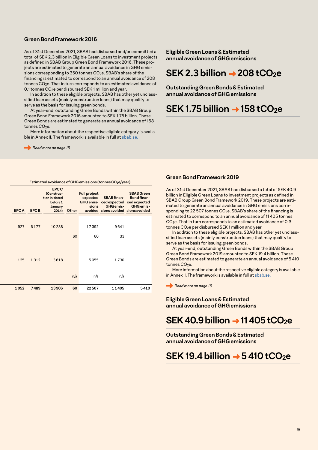## **Green Bond Framework 2016**

As of 31st December 2021, SBAB had disbursed and/or committed a total of SEK 2.3 billion in Eligible Green Loans to investment projects as defined in SBAB Group Green Bond Framework 2016. These projects are estimated to generate an annual avoidance in GHG emissions corresponding to 350 tonnes CO<sub>2</sub>e. SBAB's share of the financing is estimated to correspond to an annual avoidance of 208 tonnes CO<sub>2</sub>e. That in turn corresponds to an estimated avoidance of 0.1 tonnes CO2e per disbursed SEK 1 million and year.

In addition to these eligible projects, SBAB has other yet unclasssified loan assets (mainly construction loans) that may qualify to serve as the basis for issuing green bonds.

At year-end, outstanding Green Bonds within the SBAB Group Green Bond Framework 2016 amounted to SEK 1.75 billion. These Green Bonds are estimated to generate an annual avoidance of 158 tonnes CO<sub>2</sub>e.

More information about the respective eligible category is available in Annex II. The framework is available in full at [sbab.se.](https://www.sbab.se/download/18.61877aa21682db56c3b1b/1548686023034/SBAB%20Group%20Green%20Bond%20Framework%202019_FINAL.pdf)

Read more on page 15

**Eligible Green Loans & Estimated annual avoidance of GHG emissions**

## **SEK 2.3 billion → 208 tCO2e**

**Outstanding Green Bonds & Estimated annual avoidance of GHG emissions** 

## **SEK 1.75 billion → 158 tCO2e**

| EPC C | Estimated avoidance of GHG emissions (tonnes $CO2e/year$ ) |  |
|-------|------------------------------------------------------------|--|
|       |                                                            |  |

|      | expected SBAB finan-<br>GHG emis- ced expected ced expected<br>sions GHG emis- GHG emis-<br>avoided sions avoided sions avoided | <b>Full project</b> |     | (Construc-<br>tion initiated<br>before 1<br>January<br>2014) Other |         | EPCA EPCB |  |
|------|---------------------------------------------------------------------------------------------------------------------------------|---------------------|-----|--------------------------------------------------------------------|---------|-----------|--|
|      |                                                                                                                                 |                     |     |                                                                    |         |           |  |
|      | 9641                                                                                                                            | 17392               |     | 10288                                                              | 6177    | 927       |  |
|      | 33                                                                                                                              | 60                  | 60  |                                                                    |         |           |  |
|      |                                                                                                                                 |                     |     |                                                                    |         |           |  |
|      |                                                                                                                                 |                     |     |                                                                    |         |           |  |
|      | 1730                                                                                                                            | 5055                |     | 3618                                                               | 1 3 1 2 | 125       |  |
|      |                                                                                                                                 |                     |     |                                                                    |         |           |  |
|      | n/a                                                                                                                             | n/a                 | n/a |                                                                    |         |           |  |
| 5410 | 11405                                                                                                                           | 22507               | 60  | 13906                                                              | 7489    | 1052      |  |

## **Green Bond Framework 2019**

As of 31st December 2021, SBAB had disbursed a total of SEK 40.9 billion in Eligible Green Loans to investment projects as defined in SBAB Group Green Bond Framework 2019. These projects are estimated to generate an annual avoidance in GHG emissions corresponding to 22 507 tonnes CO<sub>2</sub>e. SBAB's share of the financing is estimated to correspond to an annual avoidance of 11 405 tonnes CO<sub>2</sub>e. That in turn corresponds to an estimated avoidance of 0.3 tonnes CO2e per disbursed SEK 1 million and year.

In addition to these eligible projects, SBAB has other yet unclasssified loan assets (mainly construction loans) that may qualify to serve as the basis for issuing green bonds.

At year-end, outstanding Green Bonds within the SBAB Group Green Bond Framework 2019 amounted to SEK 19.4 billion. These Green Bonds are estimated to generate an annual avoidance of 5 410 tonnes CO<sub>2</sub>e

More information about the respective eligible category is available in Annex II. The framework is available in full at [sbab.se](https://www.sbab.se/download/18.61877aa21682db56c3b1b/1548686023034/SBAB%20Group%20Green%20Bond%20Framework%202019_FINAL.pdf).

Read more on page 16

**Eligible Green Loans & Estimated annual avoidance of GHG emissions**

## **SEK 40.9 billion → 11 405 tCO2e**

**Outstanding Green Bonds & Estimated annual avoidance of GHG emissions** 

**SEK 19.4 billion → 5 410 tCO2e**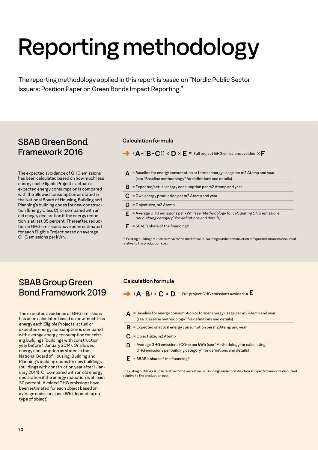# Reporting methodology

The reporting methodology applied in this report is based on "Nordic Public Sector Issuers: Position Paper on Green Bonds Impact Reporting."

## SBAB Green Bond Framework 2016

The expected avoidance of GHG emissions has been calculated based on how much less energy each Eligible Project's actual or expected energy consumption is compared with the allowed consumption as stated in the National Board of Housing, Building and Planning's building codes for new construction (Energy Class C), or compared with an old enegry declaration if the energy reduction is at last 35 percent. Thereafter, reduction in GHG emissions have been estimated for each Eligible Project based on average GHG emissions per kWh.

### **Calculation formula**

 $\rightarrow$  ( $\mathbf{A}$  –  $(\mathbf{B}$  –  $\mathbf{C}$ ))  $\times$   $\mathbf{D}$   $\times$   $\mathbf{E}$  = Full project GHG emissions avoided  $\times$  **F** 

- **A** = Baseline for energy consumption or former energy usage per m2 Atemp and year (see "Baseline methodology" for definitions and details)
- $\bf{B}$  = Expected/actual energy consumption per m2 Atemp and year
- **C** = Own energy production per m2 Atemp and year
- $\mathbf{D}$  = Object size, m2 Atemp
- **E** = Average GHG emissions per kWh *(see "Methodology for calculating GHG emissions per building category" for definitions and details)*
- $\mathbf{F}$  = SBAB's share of the financing<sup>1)</sup>

 $1)$  Existing buildings = Loan relative to the market value. Buildings under construction = Expected amounts disbursed relative to the production cost

## SBAB Group Green Bond Framework 2019

The expected avoidance of GHG emissions has been calculated based on how much less energy each Eligible Projects' actual or expected energy consumption is compared with average energy consumption for existing buildings (buildings with construction year before 1 January 2014). Or allowed energy consumption as stated in the National Board of Housing, Building and Planning's building codes for new buildings (buildings with construction year after 1 January 2014). Or compared with an old energy declaration if the energy reduction is at least 30 percent. Avoided GHG emissions have been estimated for each object based on average emissions per kWh (depending on type of object).

## **Calculation formula**

- $\rightarrow$  (**A B**) x **C** x **D** = Full project GHG emissions avoided x **E**
- **A** = Baseline for energy consumption or former energy usage per m2 Atemp and year (see "Baseline methodology" for definitions and details)
- $\bf{B}$  = Expected or actual energy consumption per m2 Atemp and year
- **C** = Object size, m2 Atemp
- **D** = Average GHG emissions (CO2e) per kWh (see "Methodology for calculating GHG emissions per building category" for definitions and details)
- $\mathbf{E}$  = SBAB's share of the financing<sup>1)</sup>

1) Existing buildings = Loan relative to the market value. Buildings under construction = Expected amounts disbursed relative to the production cost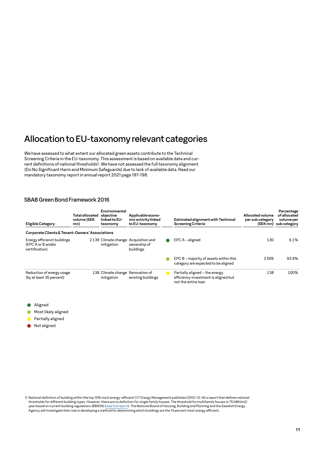## Allocation to EU-taxonomy relevant categories

We have assessed to what extent our allocated green assets contribute to the Technical Screening Criteria in the EU-taxonomy. This assessment is based on available data and current definitions of national thresholds<sup>1)</sup>. We have not assessed the full taxonomy alignment (Do No Significant Harm and Minimum Safeguards) due to lack of available data. Read our mandatory taxonomy report in annual report 2021 page 197-198.

### SBAB Green Bond Framework 2016

| Eligible Category                                                   | <b>Total allocated</b><br>volume (SEK<br>mn) | Environmental<br>obiective<br>linked to EU-<br>taxonomy | Applicable econo-<br>mic activity linked<br>to EU-taxonomy | Estimated alignment with Technical<br><b>Screening Criteria</b>                               | Allocated volume<br>per sub category<br>(SEK mn) | Percentage<br>of allocated<br>volume per<br>sub category |
|---------------------------------------------------------------------|----------------------------------------------|---------------------------------------------------------|------------------------------------------------------------|-----------------------------------------------------------------------------------------------|--------------------------------------------------|----------------------------------------------------------|
| Corporate Clients & Tenant-Owners' Associations                     |                                              |                                                         |                                                            |                                                                                               |                                                  |                                                          |
| Energy efficienct buildings<br>(EPC A or B and/or<br>certification) |                                              | 2139 Climate change Acquisition and<br>mitigation       | ownership of<br>buildings                                  | $EPC A - aligned$                                                                             | 130                                              | 6.1%                                                     |
|                                                                     |                                              |                                                         |                                                            | EPC B - majority of assets within this<br>category are expected to be aligned                 | 2009                                             | 93.9%                                                    |
| Reduction of energy usage<br>(by at least 35 percent)               |                                              | 138 Climate change Renovation of<br>mitigation          | existing buildings                                         | Partially aligned - the energy<br>efficiency investment is aligned but<br>not the entire loan | 138                                              | 100%                                                     |

- Aligned
- Most likely aligned
- Partially aligned
- Not aligned

1) National definition of building within the top 15% most energy-efficient CIT Energy Management published (2021-12-14) a report that defines national thresholds for different building types. However, there are no definition for single family houses. The threshold for multifamily houses is 75 kWh/m2/ year based on current building regulations (BBR29) [\(read full report\).](https://www.fastighetsagarna.se/globalassets/dokument/pdf/nyheter/analys-av-primarenergital-for-de-15-procent-basta-byggnaderna.pdf?bustCache=1645012471084) The National Board of Housing, Building and Planning and the Swedish Energy Agency will investigate their role in developing a method for determining which buildings are the 15 percent most energy efficient.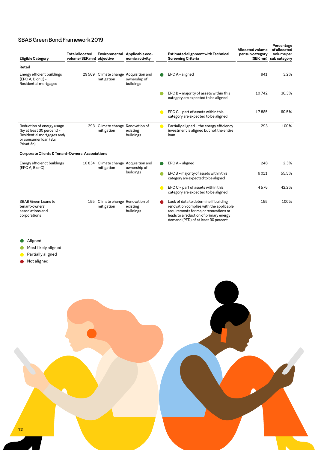## SBAB Green Bond Framework 2019

| Eligible Category                                                                                                            | <b>Total allocated</b><br>volume (SEK mn) objective | Environmental                                  | Applicable eco-<br>nomic activity                           |                | Estimated alignment with Technical<br><b>Screening Criteria</b>                                                                                                                                            | Allocated volume<br>per sub category<br>(SEK mn) | Percentage<br>of allocated<br>volume per<br>sub category |
|------------------------------------------------------------------------------------------------------------------------------|-----------------------------------------------------|------------------------------------------------|-------------------------------------------------------------|----------------|------------------------------------------------------------------------------------------------------------------------------------------------------------------------------------------------------------|--------------------------------------------------|----------------------------------------------------------|
| Retail                                                                                                                       |                                                     |                                                |                                                             |                |                                                                                                                                                                                                            |                                                  |                                                          |
| Energy efficient buildings<br>$(EPC A, B or C) -$<br>Residential mortgages                                                   | 29 5 69                                             | mitigation                                     | Climate change Acquisition and<br>ownership of<br>buildings |                | EPC A - aligned                                                                                                                                                                                            | 941                                              | 3.2%                                                     |
|                                                                                                                              |                                                     |                                                |                                                             |                | EPC B - majority of assets within this<br>category are expected to be aligned                                                                                                                              | 10742                                            | 36.3%                                                    |
|                                                                                                                              |                                                     |                                                |                                                             | $\blacksquare$ | EPC C - part of assets within this<br>category are expected to be aligned                                                                                                                                  | 17885                                            | 60.5%                                                    |
| Reduction of energy usage<br>(by at least 30 percent) -<br>Residential mortgages and/<br>or consumer loan (Sw.<br>Privatlån) |                                                     | 293 Climate change Renovation of<br>mitigation | existing<br>buildings                                       | $\bullet$      | Partially aligned - the energy efficiency<br>investment is aligned but not the entire<br>loan                                                                                                              | 293                                              | 100%                                                     |
| Corporate Clients & Tenant-Owners' Associations                                                                              |                                                     |                                                |                                                             |                |                                                                                                                                                                                                            |                                                  |                                                          |
| Energy efficienct buildings<br>(EPC A, B or C)                                                                               | 10 834                                              | mitigation                                     | Climate change Acquisition and<br>ownership of              |                | EPC A - aligned                                                                                                                                                                                            | 248                                              | 2.3%                                                     |
|                                                                                                                              |                                                     |                                                | buildings                                                   |                | EPC B - majority of assets within this<br>category are expected to be aligned                                                                                                                              | 6011                                             | 55.5%                                                    |
|                                                                                                                              |                                                     |                                                |                                                             |                | EPC C - part of assets within this<br>category are expected to be aligned                                                                                                                                  | 4576                                             | 42.2%                                                    |
| SBAB Green Loans to<br>tenant-owners'<br>associations and<br>corporations                                                    | 155                                                 | Climate change Renovation of<br>mitigation     | existing<br>buildings                                       |                | Lack of data to determine if building<br>renovation complies with the applicable<br>requirements for major renovations or<br>leads to a reduction of primary energy<br>demand (PED) of at least 30 percent | 155                                              | 100%                                                     |

- Aligned
- Most likely aligned  $\bullet$
- Partially aligned  $\bullet$
- Not aligned

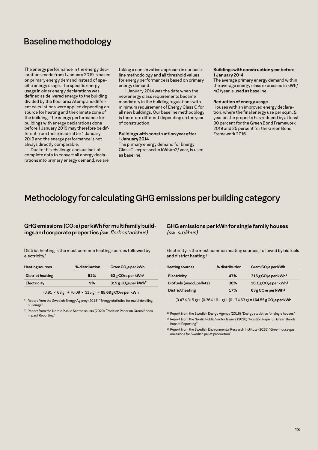## Baseline methodology

The energy performance in the energy declarations made from 1 January 2019 is based on primary energy demand instead of specific energy usage. The specific energy usage in older energy declarations was defined as delivered energy to the building divided by the floor area Atemp and different calculations were applied depending on source for heating and the climate zone of the building. The energy performance for buildings with energy declarations done before 1 January 2019 may therefore be different from those made after 1 January 2019 and the energy performance is not always directly comparable.

Due to this challenge and our lack of complete data to convert all energy declarations into primary energy demand, we are taking a conservative approach in our baseline methodology and all threshold values for energy performance is based on primary energy demand.

1 January 2014 was the date when the new energy class requirements became mandatory in the building regulations with minimum requirement of Energy Class C for all new buildings. Our baseline methodology is therefore different depending on the year of construction.

#### **Buildings with construction year after 1 January 2014**

The primary energy demand for Energy Class C, expressed in kWh/m2/ year, is used as baseline.

#### **Buildings with construction year before 1 January 2014**

The average primary energy demand within the average energy class expressed in kWh/ m2/year is used as baseline.

#### **Reduction of energy usage**

Houses with an improved energy declaration, where the final energy use per sq.m. & year on the property has reduced by at least 30 percent for the Green Bond Framework 2019 and 35 percent for the Green Bond Framework 2016.

## Methodology for calculating GHG emissions per building category

#### GHG emissions (CO<sub>2</sub>e) per kWh for multifamily build**ings and corporate properties** *(sw. flerbostadshus)*

District heating is the most common heating sources followed by electricity.1

| <b>Heating sources</b>  | % distribution | Gram CO <sub>2</sub> e per kWh                 |  |  |
|-------------------------|----------------|------------------------------------------------|--|--|
| <b>District heating</b> | 91%            | $63$ g CO <sub>2</sub> e per kWh <sup>2</sup>  |  |  |
| Electricity             | 9%             | $315$ g CO <sub>2</sub> e per kWh <sup>2</sup> |  |  |
|                         |                |                                                |  |  |

 $(0.91 \times 63 \text{ g}) + (0.09 \times 315 \text{ g}) = 85.68 \text{ g } CO_2$ e per kWh

<sup>1)</sup> Report from the Swedish Energy Agency (2016) "Energy statistics for multi-dwelling buildings"

2) Report from the Nordic Public Sector Issuers (2020) "Position Paper on Green Bonds Impact Reporting"

### **GHG emissions per kWh for single family houses**  *(sw. småhus)*

Electricity is the most common heating sources, followed by biofuels and district heating.1

| <b>Heating sources</b>   | % distribution | Gram CO <sub>2</sub> e per kWh                  |
|--------------------------|----------------|-------------------------------------------------|
| Electricity              | 47%            | $315$ g CO <sub>2</sub> e per kWh <sup>2</sup>  |
| Biofuels (wood, pellets) | 36%            | $16.1$ g CO <sub>2</sub> e per kWh <sup>3</sup> |
| District heating         | 17%            | 63 g CO <sub>2</sub> e per kWh <sup>2</sup>     |

 $(0.47 \times 315 \text{ g}) + (0.36 \times 16.1 \text{ g}) + (0.17 \times 63 \text{ g}) = 164.55 \text{ g}$  CO<sub>2</sub>e per kWh

<sup>1)</sup> Report from the Swedish Energy Agency (2016) "Energy statistics for single houses"

2) Report from the Nordic Public Sector Issuers (2020) "Position Paper on Green Bonds Impact Reporting"

3) Report from the Swedish Environmental Research Institute (2015) "Greenhouse gas emissions for Swedish pellet production"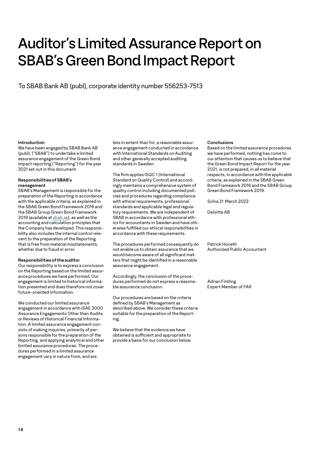# Auditor's Limited Assurance Report on SBAB's Green Bond Impact Report

To SBAB Bank AB (publ), corporate identity number 556253-7513

#### **Introduction**

We have been engaged by SBAB Bank AB (publ), ("SBAB") to undertake a limited assurance engagement of the Green Bond Impact reporting ("Reporting") for the year 2021 set out in this document.

#### **Responsibilities of SBAB's management**

SBAB's Management is responsible for the preparation of the Reporting in accordance with the applicable criteria, as explained in the SBAB Green Bond Framework 2016 and the SBAB Group Green Bond Framework 2019 (available at [sbab.se\)](https://www.sbab.se/1/in_english/investor_relations/sbab_unsecured_funding/sbab_green_bond.html), as well as the accounting and calculation principles that the Company has developed. This responsibility also includes the internal control relevant to the preparation of the Reporting that is free from material misstatements, whether due to fraud or error.

#### **Responsibilities of the auditor**

Our responsibility is to express a conclusion on the Reporting based on the limited assurance procedures we have performed. Our engagement is limited to historical information presented and does therefore not cover future-oriented information.

We conducted our limited assurance engagement in accordance with ISAE 3000 Assurance Engagements Other than Audits or Reviews of Historical Financial Information. A limited assurance engagement consists of making inquiries, primarily of persons responsible for the preparation of the Reporting, and applying analytical and other limited assurance procedures. The procedures performed in a limited assurance engagement vary in nature from, and are

less in extent than for, a reasonable assurance engagement conducted in accordance with International Standards on Auditing and other generally accepted auditing standards in Sweden.

The firm applies ISQC 1 (International Standard on Quality Control) and accordingly maintains a comprehensive system of quality control including documented policies and procedures regarding compliance with ethical requirements, professional standards and applicable legal and regulatory requirements. We are independent of SBAB in accordance with professional ethics for accountants in Sweden and have otherwise fulfilled our ethical responsibilities in accordance with these requirements.

The procedures performed consequently do not enable us to obtain assurance that we would become aware of all significant matters that might be identified in a reasonable assurance engagement.

Accordingly, the conclusion of the procedures performed do not express a reasonable assurance conclusion.

Our procedures are based on the criteria defined by SBAB's Management as described above. We consider these criteria suitable for the preparation of the Reporting.

We believe that the evidence we have obtained is sufficient and appropriate to provide a basis for our conclusion below.

#### **Conclusions**

Based on the limited assurance procedures we have performed, nothing has come to our attention that causes us to believe that the Green Bond Impact Report for the year 2021, is not prepared, in all material respects, in accordance with the applicable criteria, as explained in the SBAB Green Bond Framework 2016 and the SBAB Group Green Bond Framework 2019.

Solna 21 March 2022

Deloitte AB

Patrick Honeth Authorized Public Accountant

Adrian Fintling Expert Member of FAR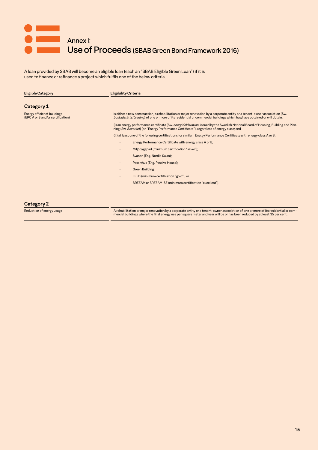

A loan provided by SBAB will become an eligible loan (each an "SBAB Eligible Green Loan") if it is used to finance or refinance a project which fulfils one of the below criteria.

| <b>Eligible Category</b>                                         | <b>Eligibility Criteria</b>                                                                                                                                                                                                                            |
|------------------------------------------------------------------|--------------------------------------------------------------------------------------------------------------------------------------------------------------------------------------------------------------------------------------------------------|
| Category 1                                                       |                                                                                                                                                                                                                                                        |
| Energy efficienct buildings<br>(EPC A or B and/or certification) | Is either a new construction, a rehabilitation or major renovation by a corporate entity or a tenant-owner association (Sw.<br>bostadsrättsförening) of one or more of its residential or commercial buildings which has/have obtained or will obtain: |
|                                                                  | (i) an energy performance certificate (Sw. energideklaration) issued by the Swedish National Board of Housing, Building and Plan-<br>ning (Sw. Boverket) (an "Energy Performance Certificate"), regardless of energy class; and                        |
|                                                                  | (ii) at least one of the following certifications (or similar): Energy Performance Certificate with energy class A or B;                                                                                                                               |
|                                                                  | Energy Performance Certificate with energy class A or B;                                                                                                                                                                                               |
|                                                                  | Miljöbyggnad (minimum certification "silver");                                                                                                                                                                                                         |
|                                                                  | Svanen (Eng. Nordic Swan);                                                                                                                                                                                                                             |
|                                                                  | Passivhus (Eng. Passive House);                                                                                                                                                                                                                        |
|                                                                  | Green Building;                                                                                                                                                                                                                                        |
|                                                                  | LEED (minimum certification "gold"); or                                                                                                                                                                                                                |
|                                                                  | BREEAM or BREEAM-SE (minimum certification "excellent").<br>$\bullet$                                                                                                                                                                                  |
|                                                                  |                                                                                                                                                                                                                                                        |

**Category 2**

-Reduction of energy usage residential or compare and the Arehabilitation or major renovation by a corporate entity or a tenant-owner association of one or more of its residential or com<br>-----------------------------------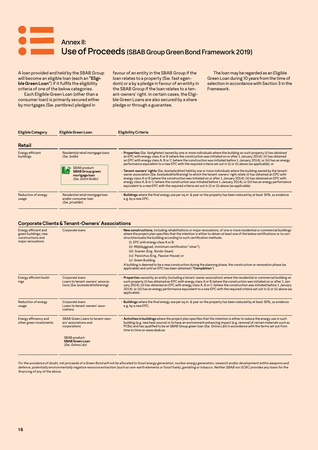

A loan provided and held by the SBAB Group will become an eligible loan (each an **"Eligible Green Loan"**) if it fulfils the eligibility criteria of one of the below categories.

Each Eligible Green Loan (other than a consumer loan) is primarily secured either by mortgages (Sw. pantbrev) pledged in

favour of an entity in the SBAB Group if the loan relates to a property (Sw. fast egendom) or a by a pledge in favour of an entity in the SBAB Group if the loan relates to a tenant-owners' right. In certain cases, the Eligible Green Loans are also secured by a share pledge or through a guarantee.

The loan may be regarded as an Eligible Green Loan during 10 years from the time of selection in accordance with Section 3 in the Framework.

| <b>Eligible Category</b>      | Eligible Green Loan                                                         | Eligibility Criteria                                                                                                                                                                                                                                                                                                                                                                                                                                                                                                                                                                                              |
|-------------------------------|-----------------------------------------------------------------------------|-------------------------------------------------------------------------------------------------------------------------------------------------------------------------------------------------------------------------------------------------------------------------------------------------------------------------------------------------------------------------------------------------------------------------------------------------------------------------------------------------------------------------------------------------------------------------------------------------------------------|
| Retail                        |                                                                             |                                                                                                                                                                                                                                                                                                                                                                                                                                                                                                                                                                                                                   |
| Energy efficient<br>buildings | Residential retail mortgage loans<br>(Sw. bolån)<br><b>SBAB</b> product:    | • Properties (Sw. fastigheter) owned by one or more individuals where the building on such property (i) has obtained<br>an EPC with energy class A or B (where the construction was initiated on or after 1 January 2014); (ii) has obtained<br>an EPC with energy class A, B or C (where the construction was initiated before 1 January 2014); or (iii) has an energy<br>performance equivalent to a new EPC with the required criteria set out in (i) or (ii) above (as applicable); or<br>. Tenant-owners' rights (Sw. bostadsrätter) held by one or more individuals where the building owned by the tenant- |
|                               | <b>SBAB Group green</b><br>mortgage loan<br>(Sw. Grönt Bolån)               | owner association (Sw. bostadsrättsförening) to which the tenant-owners' right relate (i) has obtained an EPC with<br>energy class A or B (where the construction was initiated on or after 1 January 2014); (ii) has obtained an EPC with<br>energy class A, B or C (where the construction was initiated before 1 January 2014); or (iii) has an energy performance<br>equivalent to a new EPC with the required criteria set out in (i) or (ii) above (as applicable).                                                                                                                                         |
| Reduction of energy<br>usage  | Residential retail mortgage loan<br>and/or consumer loan<br>(Sw. privatlån) | . Buildings where the final energy use per sq.m. & year on the property has been reduced by at least 30%, as evidence<br>e.g. by a new EPC.                                                                                                                                                                                                                                                                                                                                                                                                                                                                       |

#### **Corporate Clients & Tenant-Owners' Associations**

| Corporate loans                                                                                                            | . New constructions, including rehabilitations or major renovations, of one or more residential or commercial buildings<br>where the project plan specifies that the intention is either to obtain at least one of the below certifications or to con-<br>struct/renovate the building according to such certification methods.<br>(i) EPC with energy class A or B;<br>(ii) Miljöbyggnad, (minimum certification "silver");<br>(iii) Svanen (Eng. Nordic Swan);<br>(iv) Passivhus (Eng. Passive House); or<br>(v) Green Building.<br>A building is deemed to be a new construction during the planning phase, the construction or renovation phase (as<br>applicable) and until an EPC has been obtained ("Completion"). |
|----------------------------------------------------------------------------------------------------------------------------|---------------------------------------------------------------------------------------------------------------------------------------------------------------------------------------------------------------------------------------------------------------------------------------------------------------------------------------------------------------------------------------------------------------------------------------------------------------------------------------------------------------------------------------------------------------------------------------------------------------------------------------------------------------------------------------------------------------------------|
| Corporate loans<br>Loans to tenant-owners' associa-<br>tions (Sw. bostadsrättsförening)                                    | • Properties owned by an entity (including a tenant-owner association) where the residential or commercial building on<br>such property (i) has obtained an EPC with energy class A or B (where the construction was initiated on or after 1 Jan-<br>uary 2014); (ii) has obtained an EPC with energy class A, B or C (where the construction was initiated before 1 January<br>2014); or (iii) has an energy performance equivalent to a new EPC with the required criteria set out in (i) or (ii) above (as<br>applicable).                                                                                                                                                                                             |
| Corporate loans<br>Loans to tenant-owners' asso-<br>ciations                                                               | . Buildings where the final energy use per sq.m. & year on the property has been reduced by at least 30%, as evidence<br>e.g. by a new EPC.                                                                                                                                                                                                                                                                                                                                                                                                                                                                                                                                                                               |
| SBAB Green Loans to tenant-own-<br>ers' associations and<br>corporations<br><b>SBAB</b> product:<br><b>SBAB Green Loan</b> | . Activities in buildings where the project plan specifies that the intention is either to reduce the energy use in such<br>building (e.g. new heat source) or to have an environment enhancing impact (e.g. removal of certain materials such as<br>PCBs) and has qualified to be an SBAB Group green loan (Sw. Gröna Lan) in accordance with the terms set out from<br>time to time on www.sbab.se.                                                                                                                                                                                                                                                                                                                     |
|                                                                                                                            | (Sw. Gröna Lån)                                                                                                                                                                                                                                                                                                                                                                                                                                                                                                                                                                                                                                                                                                           |

*For the avoidance of doubt, net proceeds of a Green Bond will not be allocated to fossil energy generation, nuclear energy generation, research and/or development within weapons and defence, potentially environmentally negative resource extraction (such as rare-earth elements or fossil fuels), gambling or tobacco. Neither SBAB nor SCBC provides any loans for the financing of any of the above.*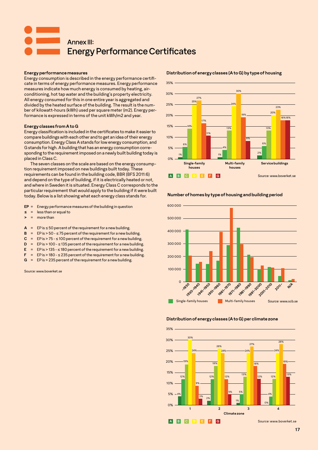# Annex III: Energy Performance Certificates

#### **Energy performance measures**

Energy consumption is described in the energy performance certificate in terms of energy performance measures. Energy performance measures indicate how much energy is consumed by heating, airconditioning, hot tap water and the building's property electricity. All energy consumed for this in one entire year is aggregated and divided by the heated surface of the building. The result is the number of kilowatt-hours (kWh) used per square meter (m2). Energy performance is expressed in terms of the unit kWh/m2 and year.

#### **Energy classes from A to G**

Energy classification is included in the certificates to make it easier to compare buildings with each other and to get an idea of their energy consumption. Energy Class A stands for low energy consumption, and G stands for high. A building that has an energy consumption corresponding to the requirement imposed on a newly built building today is placed in Class C.

The seven classes on the scale are based on the energy consumption requirement imposed on new buildings built today. These requirements can be found in the building code, BBR (BFS 2011:6) and depend on the type of building, if it is electrically heated or not, and where in Sweden it is situated. Energy Class C corresponds to the particular requirement that would apply to the building if it were built today. Below is a list showing what each energy class stands for.

- **EP** = Energy performance measures of the building in question
- **≤** = less than or equal to
- **>** = more than
- $A = EP$  is  $\leq$  50 percent of the requirement for a new building.
- **B** =  $EP$  is  $> 50 575$  percent of the requirement for a new building.
- $C = EP$  is  $> 75 100$  percent of the requirement for a new building.
- **D** =  $EP$  is > 100  $\leq$  135 percent of the requirement for a new building.
- **E** =  $EP$  is > 135  $\leq$  180 percent of the requirement for a new building.
- **F** =  $EP$  is > 180  $\leq$  235 percent of the requirement for a new building.
- **G** = EP is > 235 percent of the requirement for a new building.

Source: www.boverket.se

18% 18% 35% 30% 25% 20% 15% 10% 5%  $0<sup>0</sup>$ **Single-family houses** 1% 2<sup>%</sup> 2% 2% 2% 2% 2% 2% 2% 2% 2% 2% 6% 4% .<br>م 1<mark>4% 13% 13% 13% 13%</mark> 13% 25% 24% 20% 27% 30% 23% 17% 19% 11% 8% **Multi-family houses Service buildings A B C D E F G** Source: www.boverket.se

#### **Distribution of energy classes (A to G) by type of housing**

**Number of homes by type of housing and building period**



#### **Distribution of energy classes (A to G) per climate zone**